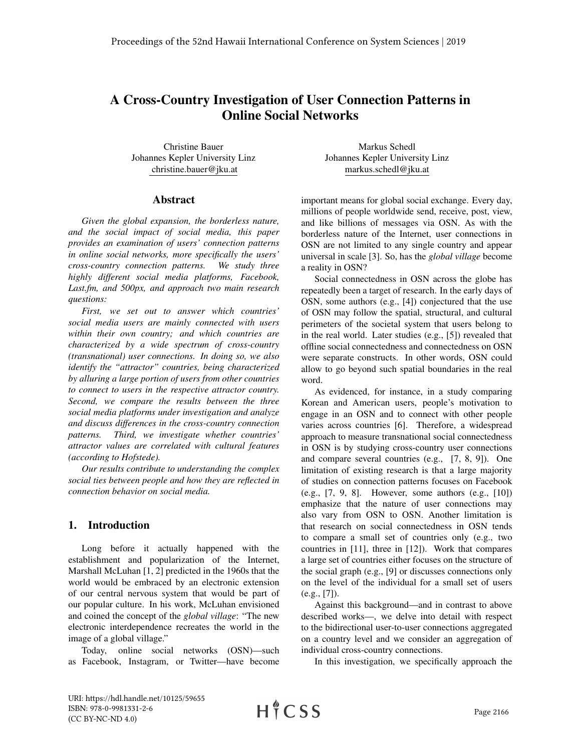# A Cross-Country Investigation of User Connection Patterns in Online Social Networks

Christine Bauer Johannes Kepler University Linz christine.bauer@jku.at

#### Abstract

*Given the global expansion, the borderless nature, and the social impact of social media, this paper provides an examination of users' connection patterns in online social networks, more specifically the users' cross-country connection patterns. We study three highly different social media platforms, Facebook, Last.fm, and 500px, and approach two main research questions:*

*First, we set out to answer which countries' social media users are mainly connected with users within their own country; and which countries are characterized by a wide spectrum of cross-country (transnational) user connections. In doing so, we also identify the "attractor" countries, being characterized by alluring a large portion of users from other countries to connect to users in the respective attractor country. Second, we compare the results between the three social media platforms under investigation and analyze and discuss differences in the cross-country connection patterns. Third, we investigate whether countries' attractor values are correlated with cultural features (according to Hofstede).*

*Our results contribute to understanding the complex social ties between people and how they are reflected in connection behavior on social media.*

#### 1. Introduction

Long before it actually happened with the establishment and popularization of the Internet, Marshall McLuhan [1, 2] predicted in the 1960s that the world would be embraced by an electronic extension of our central nervous system that would be part of our popular culture. In his work, McLuhan envisioned and coined the concept of the *global village*: "The new electronic interdependence recreates the world in the image of a global village."

Today, online social networks (OSN)—such as Facebook, Instagram, or Twitter—have become

Markus Schedl Johannes Kepler University Linz markus.schedl@jku.at

important means for global social exchange. Every day, millions of people worldwide send, receive, post, view, and like billions of messages via OSN. As with the borderless nature of the Internet, user connections in OSN are not limited to any single country and appear universal in scale [3]. So, has the *global village* become a reality in OSN?

Social connectedness in OSN across the globe has repeatedly been a target of research. In the early days of OSN, some authors (e.g., [4]) conjectured that the use of OSN may follow the spatial, structural, and cultural perimeters of the societal system that users belong to in the real world. Later studies (e.g., [5]) revealed that offline social connectedness and connectedness on OSN were separate constructs. In other words, OSN could allow to go beyond such spatial boundaries in the real word.

As evidenced, for instance, in a study comparing Korean and American users, people's motivation to engage in an OSN and to connect with other people varies across countries [6]. Therefore, a widespread approach to measure transnational social connectedness in OSN is by studying cross-country user connections and compare several countries (e.g., [7, 8, 9]). One limitation of existing research is that a large majority of studies on connection patterns focuses on Facebook (e.g., [7, 9, 8]. However, some authors (e.g., [10]) emphasize that the nature of user connections may also vary from OSN to OSN. Another limitation is that research on social connectedness in OSN tends to compare a small set of countries only (e.g., two countries in [11], three in [12]). Work that compares a large set of countries either focuses on the structure of the social graph (e.g., [9] or discusses connections only on the level of the individual for a small set of users (e.g., [7]).

Against this background—and in contrast to above described works—, we delve into detail with respect to the bidirectional user-to-user connections aggregated on a country level and we consider an aggregation of individual cross-country connections.

In this investigation, we specifically approach the

URI: https://hdl.handle.net/10125/59655 ISBN: 978-0-9981331-2-6 (CC BY-NC-ND 4.0)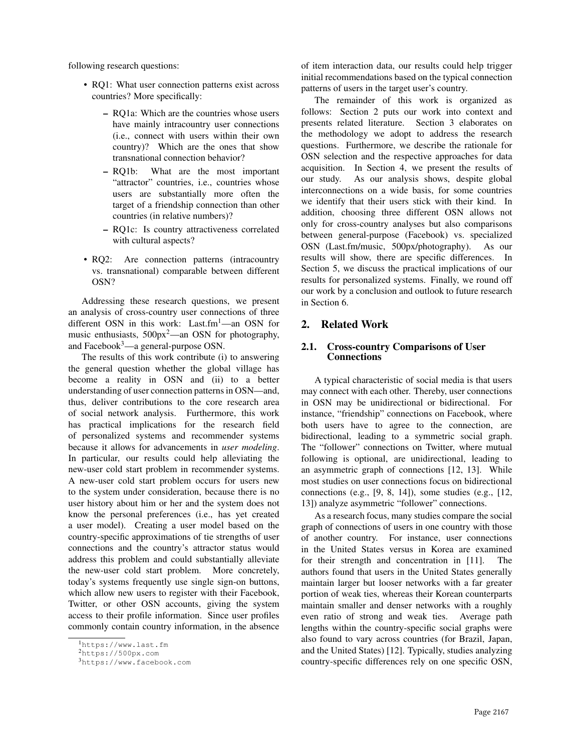following research questions:

- RQ1: What user connection patterns exist across countries? More specifically:
	- RQ1a: Which are the countries whose users have mainly intracountry user connections (i.e., connect with users within their own country)? Which are the ones that show transnational connection behavior?
	- RQ1b: What are the most important "attractor" countries, i.e., countries whose users are substantially more often the target of a friendship connection than other countries (in relative numbers)?
	- RQ1c: Is country attractiveness correlated with cultural aspects?
- RQ2: Are connection patterns (intracountry vs. transnational) comparable between different OSN?

Addressing these research questions, we present an analysis of cross-country user connections of three different OSN in this work: Last.fm<sup>1</sup>-an OSN for music enthusiasts,  $500px^2$ —an OSN for photography, and Facebook<sup>3</sup>—a general-purpose OSN.

The results of this work contribute (i) to answering the general question whether the global village has become a reality in OSN and (ii) to a better understanding of user connection patterns in OSN—and, thus, deliver contributions to the core research area of social network analysis. Furthermore, this work has practical implications for the research field of personalized systems and recommender systems because it allows for advancements in *user modeling*. In particular, our results could help alleviating the new-user cold start problem in recommender systems. A new-user cold start problem occurs for users new to the system under consideration, because there is no user history about him or her and the system does not know the personal preferences (i.e., has yet created a user model). Creating a user model based on the country-specific approximations of tie strengths of user connections and the country's attractor status would address this problem and could substantially alleviate the new-user cold start problem. More concretely, today's systems frequently use single sign-on buttons, which allow new users to register with their Facebook, Twitter, or other OSN accounts, giving the system access to their profile information. Since user profiles commonly contain country information, in the absence

of item interaction data, our results could help trigger initial recommendations based on the typical connection patterns of users in the target user's country.

The remainder of this work is organized as follows: Section 2 puts our work into context and presents related literature. Section 3 elaborates on the methodology we adopt to address the research questions. Furthermore, we describe the rationale for OSN selection and the respective approaches for data acquisition. In Section 4, we present the results of our study. As our analysis shows, despite global interconnections on a wide basis, for some countries we identify that their users stick with their kind. In addition, choosing three different OSN allows not only for cross-country analyses but also comparisons between general-purpose (Facebook) vs. specialized OSN (Last.fm/music, 500px/photography). As our results will show, there are specific differences. In Section 5, we discuss the practical implications of our results for personalized systems. Finally, we round off our work by a conclusion and outlook to future research in Section 6.

## 2. Related Work

## 2.1. Cross-country Comparisons of User **Connections**

A typical characteristic of social media is that users may connect with each other. Thereby, user connections in OSN may be unidirectional or bidirectional. For instance, "friendship" connections on Facebook, where both users have to agree to the connection, are bidirectional, leading to a symmetric social graph. The "follower" connections on Twitter, where mutual following is optional, are unidirectional, leading to an asymmetric graph of connections [12, 13]. While most studies on user connections focus on bidirectional connections (e.g., [9, 8, 14]), some studies (e.g., [12, 13]) analyze asymmetric "follower" connections.

As a research focus, many studies compare the social graph of connections of users in one country with those of another country. For instance, user connections in the United States versus in Korea are examined for their strength and concentration in [11]. The authors found that users in the United States generally maintain larger but looser networks with a far greater portion of weak ties, whereas their Korean counterparts maintain smaller and denser networks with a roughly even ratio of strong and weak ties. Average path lengths within the country-specific social graphs were also found to vary across countries (for Brazil, Japan, and the United States) [12]. Typically, studies analyzing country-specific differences rely on one specific OSN,

<sup>1</sup>https://www.last.fm

<sup>2</sup>https://500px.com

<sup>3</sup>https://www.facebook.com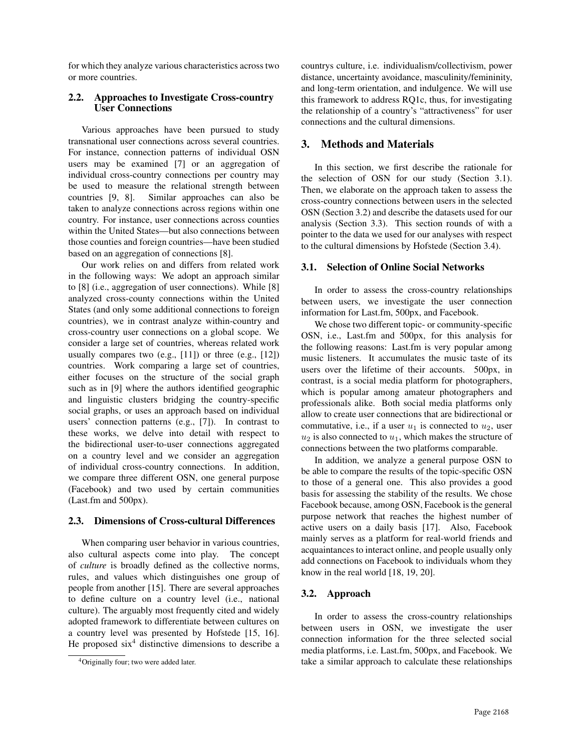for which they analyze various characteristics across two or more countries.

#### 2.2. Approaches to Investigate Cross-country User Connections

Various approaches have been pursued to study transnational user connections across several countries. For instance, connection patterns of individual OSN users may be examined [7] or an aggregation of individual cross-country connections per country may be used to measure the relational strength between countries [9, 8]. Similar approaches can also be taken to analyze connections across regions within one country. For instance, user connections across counties within the United States—but also connections between those counties and foreign countries—have been studied based on an aggregation of connections [8].

Our work relies on and differs from related work in the following ways: We adopt an approach similar to [8] (i.e., aggregation of user connections). While [8] analyzed cross-county connections within the United States (and only some additional connections to foreign countries), we in contrast analyze within-country and cross-country user connections on a global scope. We consider a large set of countries, whereas related work usually compares two  $(e.g., [11])$  or three  $(e.g., [12])$ countries. Work comparing a large set of countries, either focuses on the structure of the social graph such as in [9] where the authors identified geographic and linguistic clusters bridging the country-specific social graphs, or uses an approach based on individual users' connection patterns (e.g., [7]). In contrast to these works, we delve into detail with respect to the bidirectional user-to-user connections aggregated on a country level and we consider an aggregation of individual cross-country connections. In addition, we compare three different OSN, one general purpose (Facebook) and two used by certain communities (Last.fm and 500px).

#### 2.3. Dimensions of Cross-cultural Differences

When comparing user behavior in various countries, also cultural aspects come into play. The concept of *culture* is broadly defined as the collective norms, rules, and values which distinguishes one group of people from another [15]. There are several approaches to define culture on a country level (i.e., national culture). The arguably most frequently cited and widely adopted framework to differentiate between cultures on a country level was presented by Hofstede [15, 16]. He proposed  $\sin^4$  distinctive dimensions to describe a

countrys culture, i.e. individualism/collectivism, power distance, uncertainty avoidance, masculinity/femininity, and long-term orientation, and indulgence. We will use this framework to address RQ1c, thus, for investigating the relationship of a country's "attractiveness" for user connections and the cultural dimensions.

## 3. Methods and Materials

In this section, we first describe the rationale for the selection of OSN for our study (Section 3.1). Then, we elaborate on the approach taken to assess the cross-country connections between users in the selected OSN (Section 3.2) and describe the datasets used for our analysis (Section 3.3). This section rounds of with a pointer to the data we used for our analyses with respect to the cultural dimensions by Hofstede (Section 3.4).

#### 3.1. Selection of Online Social Networks

In order to assess the cross-country relationships between users, we investigate the user connection information for Last.fm, 500px, and Facebook.

We chose two different topic- or community-specific OSN, i.e., Last.fm and 500px, for this analysis for the following reasons: Last.fm is very popular among music listeners. It accumulates the music taste of its users over the lifetime of their accounts. 500px, in contrast, is a social media platform for photographers, which is popular among amateur photographers and professionals alike. Both social media platforms only allow to create user connections that are bidirectional or commutative, i.e., if a user  $u_1$  is connected to  $u_2$ , user  $u_2$  is also connected to  $u_1$ , which makes the structure of connections between the two platforms comparable.

In addition, we analyze a general purpose OSN to be able to compare the results of the topic-specific OSN to those of a general one. This also provides a good basis for assessing the stability of the results. We chose Facebook because, among OSN, Facebook is the general purpose network that reaches the highest number of active users on a daily basis [17]. Also, Facebook mainly serves as a platform for real-world friends and acquaintances to interact online, and people usually only add connections on Facebook to individuals whom they know in the real world [18, 19, 20].

## 3.2. Approach

In order to assess the cross-country relationships between users in OSN, we investigate the user connection information for the three selected social media platforms, i.e. Last.fm, 500px, and Facebook. We take a similar approach to calculate these relationships

<sup>4</sup>Originally four; two were added later.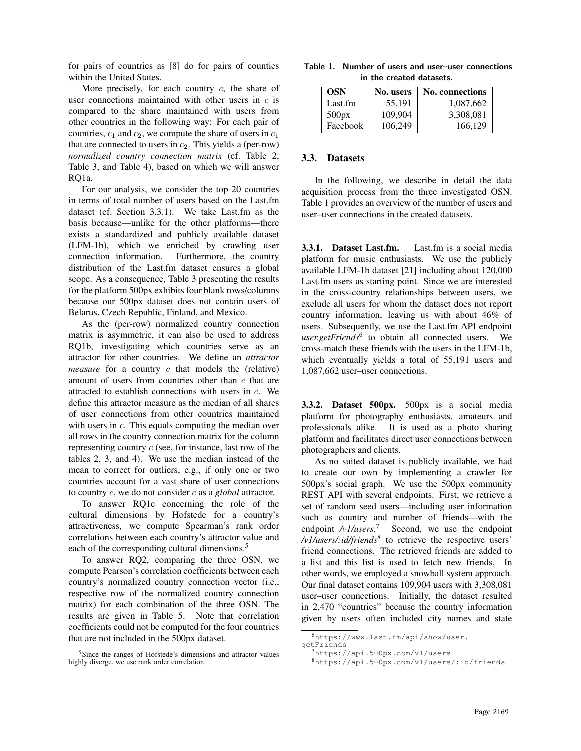for pairs of countries as [8] do for pairs of counties within the United States.

More precisely, for each country  $c$ , the share of user connections maintained with other users in  $c$  is compared to the share maintained with users from other countries in the following way: For each pair of countries,  $c_1$  and  $c_2$ , we compute the share of users in  $c_1$ that are connected to users in  $c_2$ . This yields a (per-row) *normalized country connection matrix* (cf. Table 2, Table 3, and Table 4), based on which we will answer RQ1a.

For our analysis, we consider the top 20 countries in terms of total number of users based on the Last.fm dataset (cf. Section 3.3.1). We take Last.fm as the basis because—unlike for the other platforms—there exists a standardized and publicly available dataset (LFM-1b), which we enriched by crawling user connection information. Furthermore, the country distribution of the Last.fm dataset ensures a global scope. As a consequence, Table 3 presenting the results for the platform 500px exhibits four blank rows/columns because our 500px dataset does not contain users of Belarus, Czech Republic, Finland, and Mexico.

As the (per-row) normalized country connection matrix is asymmetric, it can also be used to address RQ1b, investigating which countries serve as an attractor for other countries. We define an *attractor measure* for a country c that models the (relative) amount of users from countries other than c that are attracted to establish connections with users in c. We define this attractor measure as the median of all shares of user connections from other countries maintained with users in c. This equals computing the median over all rows in the country connection matrix for the column representing country  $c$  (see, for instance, last row of the tables 2, 3, and 4). We use the median instead of the mean to correct for outliers, e.g., if only one or two countries account for a vast share of user connections to country c, we do not consider c as a *global* attractor.

To answer RQ1c concerning the role of the cultural dimensions by Hofstede for a country's attractiveness, we compute Spearman's rank order correlations between each country's attractor value and each of the corresponding cultural dimensions.<sup>5</sup>

To answer RQ2, comparing the three OSN, we compute Pearson's correlation coefficients between each country's normalized country connection vector (i.e., respective row of the normalized country connection matrix) for each combination of the three OSN. The results are given in Table 5. Note that correlation coefficients could not be computed for the four countries that are not included in the 500px dataset.

| Table 1. Number of users and user-user connections |
|----------------------------------------------------|
| in the created datasets.                           |

| <b>OSN</b> | No. users | <b>No.</b> connections |
|------------|-----------|------------------------|
| Last.fm    | 55,191    | 1,087,662              |
| 500px      | 109.904   | 3,308,081              |
| Facebook   | 106,249   | 166.129                |

#### 3.3. Datasets

In the following, we describe in detail the data acquisition process from the three investigated OSN. Table 1 provides an overview of the number of users and user–user connections in the created datasets.

3.3.1. Dataset Last.fm. Last.fm is a social media platform for music enthusiasts. We use the publicly available LFM-1b dataset [21] including about 120,000 Last.fm users as starting point. Since we are interested in the cross-country relationships between users, we exclude all users for whom the dataset does not report country information, leaving us with about 46% of users. Subsequently, we use the Last.fm API endpoint *user.getFriends*<sup>6</sup> to obtain all connected users. We cross-match these friends with the users in the LFM-1b, which eventually yields a total of 55,191 users and 1,087,662 user–user connections.

3.3.2. Dataset 500px. 500px is a social media platform for photography enthusiasts, amateurs and professionals alike. It is used as a photo sharing platform and facilitates direct user connections between photographers and clients.

As no suited dataset is publicly available, we had to create our own by implementing a crawler for 500px's social graph. We use the 500px community REST API with several endpoints. First, we retrieve a set of random seed users—including user information such as country and number of friends—with the endpoint /v1/users.<sup>7</sup> Second, we use the endpoint */v1/users/:id/friends*<sup>8</sup> to retrieve the respective users' friend connections. The retrieved friends are added to a list and this list is used to fetch new friends. In other words, we employed a snowball system approach. Our final dataset contains 109,904 users with 3,308,081 user–user connections. Initially, the dataset resulted in 2,470 "countries" because the country information given by users often included city names and state

<sup>5</sup>Since the ranges of Hofstede's dimensions and attractor values highly diverge, we use rank order correlation.

<sup>6</sup>https://www.last.fm/api/show/user.

getFriends

<sup>7</sup>https://api.500px.com/v1/users

<sup>8</sup>https://api.500px.com/v1/users/:id/friends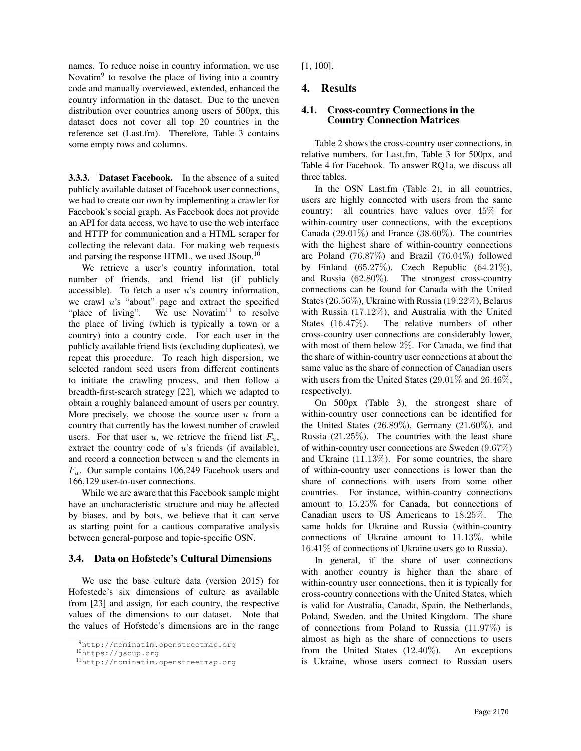names. To reduce noise in country information, we use Novatim<sup>9</sup> to resolve the place of living into a country code and manually overviewed, extended, enhanced the country information in the dataset. Due to the uneven distribution over countries among users of 500px, this dataset does not cover all top 20 countries in the reference set (Last.fm). Therefore, Table 3 contains some empty rows and columns.

3.3.3. Dataset Facebook. In the absence of a suited publicly available dataset of Facebook user connections, we had to create our own by implementing a crawler for Facebook's social graph. As Facebook does not provide an API for data access, we have to use the web interface and HTTP for communication and a HTML scraper for collecting the relevant data. For making web requests and parsing the response HTML, we used JSoup.<sup>10</sup>

We retrieve a user's country information, total number of friends, and friend list (if publicly accessible). To fetch a user  $u$ 's country information, we crawl  $u$ 's "about" page and extract the specified "place of living". We use Novatim<sup>11</sup> to resolve the place of living (which is typically a town or a country) into a country code. For each user in the publicly available friend lists (excluding duplicates), we repeat this procedure. To reach high dispersion, we selected random seed users from different continents to initiate the crawling process, and then follow a breadth-first-search strategy [22], which we adapted to obtain a roughly balanced amount of users per country. More precisely, we choose the source user  $u$  from a country that currently has the lowest number of crawled users. For that user u, we retrieve the friend list  $F_u$ , extract the country code of  $u$ 's friends (if available), and record a connection between  $u$  and the elements in  $F_u$ . Our sample contains 106,249 Facebook users and 166,129 user-to-user connections.

While we are aware that this Facebook sample might have an uncharacteristic structure and may be affected by biases, and by bots, we believe that it can serve as starting point for a cautious comparative analysis between general-purpose and topic-specific OSN.

#### 3.4. Data on Hofstede's Cultural Dimensions

We use the base culture data (version 2015) for Hofestede's six dimensions of culture as available from [23] and assign, for each country, the respective values of the dimensions to our dataset. Note that the values of Hofstede's dimensions are in the range [1, 100].

# 4. Results

#### 4.1. Cross-country Connections in the Country Connection Matrices

Table 2 shows the cross-country user connections, in relative numbers, for Last.fm, Table 3 for 500px, and Table 4 for Facebook. To answer RQ1a, we discuss all three tables.

In the OSN Last.fm (Table 2), in all countries, users are highly connected with users from the same country: all countries have values over 45% for within-country user connections, with the exceptions Canada  $(29.01\%)$  and France  $(38.60\%)$ . The countries with the highest share of within-country connections are Poland (76.87%) and Brazil (76.04%) followed by Finland  $(65.27\%)$ , Czech Republic  $(64.21\%)$ , and Russia (62.80%). The strongest cross-country connections can be found for Canada with the United States (26.56%), Ukraine with Russia (19.22%), Belarus with Russia (17.12%), and Australia with the United States (16.47%). The relative numbers of other cross-country user connections are considerably lower, with most of them below 2%. For Canada, we find that the share of within-country user connections at about the same value as the share of connection of Canadian users with users from the United States (29.01% and 26.46%, respectively).

On 500px (Table 3), the strongest share of within-country user connections can be identified for the United States  $(26.89\%)$ , Germany  $(21.60\%)$ , and Russia (21.25%). The countries with the least share of within-country user connections are Sweden (9.67%) and Ukraine (11.13%). For some countries, the share of within-country user connections is lower than the share of connections with users from some other countries. For instance, within-country connections amount to 15.25% for Canada, but connections of Canadian users to US Americans to 18.25%. The same holds for Ukraine and Russia (within-country connections of Ukraine amount to 11.13%, while 16.41% of connections of Ukraine users go to Russia).

In general, if the share of user connections with another country is higher than the share of within-country user connections, then it is typically for cross-country connections with the United States, which is valid for Australia, Canada, Spain, the Netherlands, Poland, Sweden, and the United Kingdom. The share of connections from Poland to Russia (11.97%) is almost as high as the share of connections to users from the United States (12.40%). An exceptions is Ukraine, whose users connect to Russian users

<sup>9</sup>http://nominatim.openstreetmap.org

<sup>10</sup>https://jsoup.org

<sup>11</sup>http://nominatim.openstreetmap.org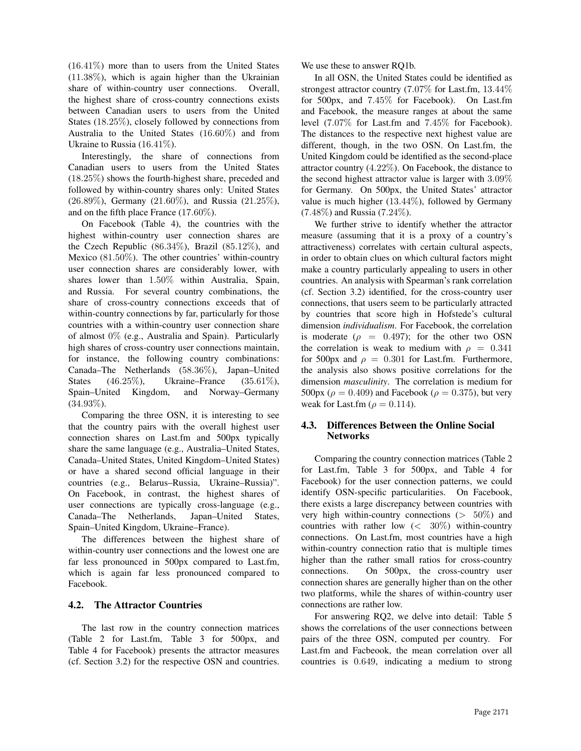(16.41%) more than to users from the United States (11.38%), which is again higher than the Ukrainian share of within-country user connections. Overall, the highest share of cross-country connections exists between Canadian users to users from the United States (18.25%), closely followed by connections from Australia to the United States (16.60%) and from Ukraine to Russia (16.41%).

Interestingly, the share of connections from Canadian users to users from the United States (18.25%) shows the fourth-highest share, preceded and followed by within-country shares only: United States (26.89%), Germany (21.60%), and Russia (21.25%), and on the fifth place France (17.60%).

On Facebook (Table 4), the countries with the highest within-country user connection shares are the Czech Republic  $(86.34\%)$ , Brazil  $(85.12\%)$ , and Mexico (81.50%). The other countries' within-country user connection shares are considerably lower, with shares lower than 1.50% within Australia, Spain, and Russia. For several country combinations, the share of cross-country connections exceeds that of within-country connections by far, particularly for those countries with a within-country user connection share of almost 0% (e.g., Australia and Spain). Particularly high shares of cross-country user connections maintain, for instance, the following country combinations: Canada–The Netherlands (58.36%), Japan–United States (46.25%), Ukraine–France (35.61%), Spain–United Kingdom, and Norway–Germany (34.93%).

Comparing the three OSN, it is interesting to see that the country pairs with the overall highest user connection shares on Last.fm and 500px typically share the same language (e.g., Australia–United States, Canada–United States, United Kingdom–United States) or have a shared second official language in their countries (e.g., Belarus–Russia, Ukraine–Russia)". On Facebook, in contrast, the highest shares of user connections are typically cross-language (e.g., Canada–The Netherlands, Japan–United States, Spain–United Kingdom, Ukraine–France).

The differences between the highest share of within-country user connections and the lowest one are far less pronounced in 500px compared to Last.fm, which is again far less pronounced compared to Facebook.

## 4.2. The Attractor Countries

The last row in the country connection matrices (Table 2 for Last.fm, Table 3 for 500px, and Table 4 for Facebook) presents the attractor measures (cf. Section 3.2) for the respective OSN and countries. We use these to answer RQ1b.

In all OSN, the United States could be identified as strongest attractor country (7.07% for Last.fm, 13.44% for 500px, and 7.45% for Facebook). On Last.fm and Facebook, the measure ranges at about the same level (7.07% for Last.fm and 7.45% for Facebook). The distances to the respective next highest value are different, though, in the two OSN. On Last.fm, the United Kingdom could be identified as the second-place attractor country (4.22%). On Facebook, the distance to the second highest attractor value is larger with 3.09% for Germany. On 500px, the United States' attractor value is much higher  $(13.44\%)$ , followed by Germany (7.48%) and Russia (7.24%).

We further strive to identify whether the attractor measure (assuming that it is a proxy of a country's attractiveness) correlates with certain cultural aspects, in order to obtain clues on which cultural factors might make a country particularly appealing to users in other countries. An analysis with Spearman's rank correlation (cf. Section 3.2) identified, for the cross-country user connections, that users seem to be particularly attracted by countries that score high in Hofstede's cultural dimension *individualism*. For Facebook, the correlation is moderate ( $\rho = 0.497$ ); for the other two OSN the correlation is weak to medium with  $\rho = 0.341$ for 500px and  $\rho = 0.301$  for Last.fm. Furthermore, the analysis also shows positive correlations for the dimension *masculinity*. The correlation is medium for 500px ( $\rho = 0.409$ ) and Facebook ( $\rho = 0.375$ ), but very weak for Last.fm ( $\rho = 0.114$ ).

## 4.3. Differences Between the Online Social Networks

Comparing the country connection matrices (Table 2 for Last.fm, Table 3 for 500px, and Table 4 for Facebook) for the user connection patterns, we could identify OSN-specific particularities. On Facebook, there exists a large discrepancy between countries with very high within-country connections  $(> 50\%)$  and countries with rather low (< 30%) within-country connections. On Last.fm, most countries have a high within-country connection ratio that is multiple times higher than the rather small ratios for cross-country connections. On 500px, the cross-country user connection shares are generally higher than on the other two platforms, while the shares of within-country user connections are rather low.

For answering RQ2, we delve into detail: Table 5 shows the correlations of the user connections between pairs of the three OSN, computed per country. For Last.fm and Facbeook, the mean correlation over all countries is 0.649, indicating a medium to strong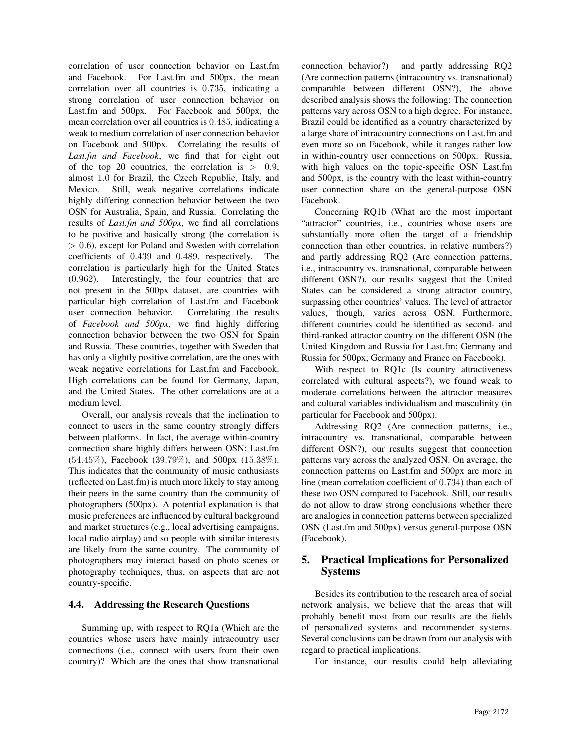correlation of user connection behavior on Last.fm and Facebook. For Last.fm and 500px, the mean correlation over all countries is 0.735, indicating a strong correlation of user connection behavior on Last.fm and 500px. For Facebook and 500px, the mean correlation over all countries is 0.485, indicating a weak to medium correlation of user connection behavior on Facebook and 500px. Correlating the results of *Last.fm and Facebook*, we find that for eight out of the top 20 countries, the correlation is  $> 0.9$ , almost 1.0 for Brazil, the Czech Republic, Italy, and Mexico. Still, weak negative correlations indicate highly differing connection behavior between the two OSN for Australia, Spain, and Russia. Correlating the results of *Last.fm and 500px*, we find all correlations to be positive and basically strong (the correlation is  $> 0.6$ ), except for Poland and Sweden with correlation coefficients of 0.439 and 0.489, respectively. The correlation is particularly high for the United States (0.962). Interestingly, the four countries that are not present in the 500px dataset, are countries with particular high correlation of Last.fm and Facebook user connection behavior. Correlating the results of *Facebook and 500px*, we find highly differing connection behavior between the two OSN for Spain and Russia. These countries, together with Sweden that has only a slightly positive correlation, are the ones with weak negative correlations for Last.fm and Facebook. High correlations can be found for Germany, Japan, and the United States. The other correlations are at a medium level.

Overall, our analysis reveals that the inclination to connect to users in the same country strongly differs between platforms. In fact, the average within-country connection share highly differs between OSN: Last.fm (54.45%), Facebook (39.79%), and 500px (15.38%). This indicates that the community of music enthusiasts (reflected on Last.fm) is much more likely to stay among their peers in the same country than the community of photographers (500px). A potential explanation is that music preferences are influenced by cultural background and market structures (e.g., local advertising campaigns, local radio airplay) and so people with similar interests are likely from the same country. The community of photographers may interact based on photo scenes or photography techniques, thus, on aspects that are not country-specific.

## 4.4. Addressing the Research Questions

Summing up, with respect to RQ1a (Which are the countries whose users have mainly intracountry user connections (i.e., connect with users from their own country)? Which are the ones that show transnational connection behavior?) and partly addressing RQ2 (Are connection patterns (intracountry vs. transnational) comparable between different OSN?), the above described analysis shows the following: The connection patterns vary across OSN to a high degree. For instance, Brazil could be identified as a country characterized by a large share of intracountry connections on Last.fm and even more so on Facebook, while it ranges rather low in within-country user connections on 500px. Russia, with high values on the topic-specific OSN Last.fm and 500px, is the country with the least within-country user connection share on the general-purpose OSN Facebook.

Concerning RQ1b (What are the most important "attractor" countries, i.e., countries whose users are substantially more often the target of a friendship connection than other countries, in relative numbers?) and partly addressing RQ2 (Are connection patterns, i.e., intracountry vs. transnational, comparable between different OSN?), our results suggest that the United States can be considered a strong attractor country, surpassing other countries' values. The level of attractor values, though, varies across OSN. Furthermore, different countries could be identified as second- and third-ranked attractor country on the different OSN (the United Kingdom and Russia for Last.fm; Germany and Russia for 500px; Germany and France on Facebook).

With respect to RQ1c (Is country attractiveness correlated with cultural aspects?), we found weak to moderate correlations between the attractor measures and cultural variables individualism and masculinity (in particular for Facebook and 500px).

Addressing RQ2 (Are connection patterns, i.e., intracountry vs. transnational, comparable between different OSN?), our results suggest that connection patterns vary across the analyzed OSN. On average, the connection patterns on Last.fm and 500px are more in line (mean correlation coefficient of 0.734) than each of these two OSN compared to Facebook. Still, our results do not allow to draw strong conclusions whether there are analogies in connection patterns between specialized OSN (Last.fm and 500px) versus general-purpose OSN (Facebook).

# 5. Practical Implications for Personalized Systems

Besides its contribution to the research area of social network analysis, we believe that the areas that will probably benefit most from our results are the fields of personalized systems and recommender systems. Several conclusions can be drawn from our analysis with regard to practical implications.

For instance, our results could help alleviating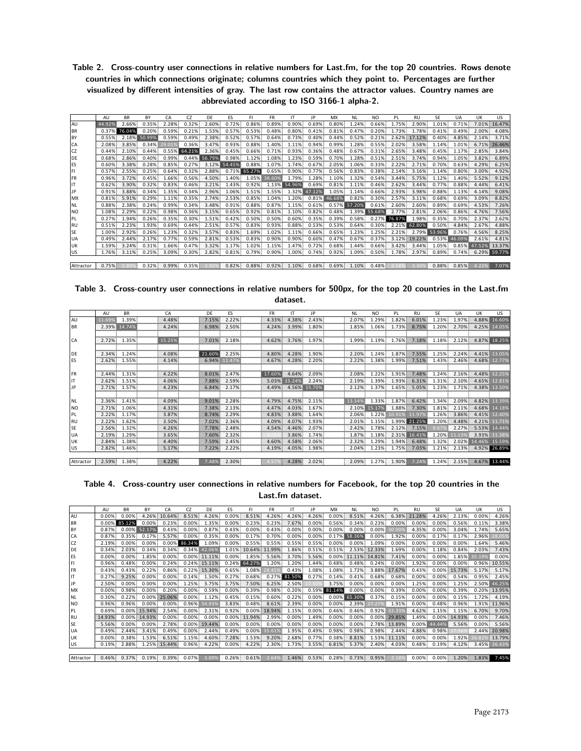Table 2. Cross-country user connections in relative numbers for Last.fm, for the top 20 countries. Rows denote countries in which connections originate; columns countries which they point to. Percentages are further visualized by different intensities of gray. The last row contains the attractor values. Country names are abbreviated according to ISO 3166-1 alpha-2.

|           | AU     | <b>BR</b> | BY     | CА    | CZ     | DF     | ES     | FI     | <b>FR</b> | IΤ     | IP         | MX     | <b>NL</b> | N <sub>O</sub> | PL     | RU           | SE     | UA     | UK    | US.          |
|-----------|--------|-----------|--------|-------|--------|--------|--------|--------|-----------|--------|------------|--------|-----------|----------------|--------|--------------|--------|--------|-------|--------------|
| AU        | 44.92% | 2.66%     | 0.35%  | 2.28% | 0.32%  | 2.60%  | 0.72%  | 0.86%  | 0.89%     | 0.90%  | 0.69%      | 0.80%  | 1.24%     | 0.66%          | 1.75%  | 2.90%        | 1.01%  | 0.71%  | 7.01% | 16.47%       |
| <b>BR</b> | 0.37%  | 76.04%    | 0.20%  | 0.59% | 0.21%  | 1.53%  | 0.57%  | 0.53%  | 0.48%     | 0.80%  | 0.41%      | 0.81%  | 0.47%     | 0.20%          | L.73%  | .78%         | 0.41%  | 0.49%  | 2.00% | 4.08%        |
| BY        | 0.55%  | 2.18%     | 50.99% | 0.59% | 0.49%  | 2.38%  | 0.52%  | 0.57%  | 0.64%     | 0.73%  | 0.40%      | 0.44%  | 0.52%     | 0.21%          | 2.62%  | 17.12%       | 0.40%  | 4.85%  | 2.14% | 3.71%        |
| I CA      | 2.08%  | 3.85%     | 0.34%  |       | 0.36%  | 3.47%  | 0.93%  | 0.88%  | 1.40%     | 1.11%  | 0.94%      | 0.99%  | 1.28%     | 0.55%          | 2.02%  | 3.58%        | 1.14%  | 1.01%  |       | 6.71% 26.46% |
| CZ        | 0.44%  | 2.10%     | 0.44%  | 0.55% | 64.21% | 2.36%  | 0.45%  | 0.66%  | 0.71%     | 0.93%  | 0.36%      | 0.48%  | 0.67%     | 0.31%          | 2.65%  | 3.48%        | 0.45%  | 1.17%  | 2.85% | 3.84%        |
| DE        | 0.68%  | 2.86%     | 0.40%  | 0.99% | 0.44%  | 56.79% | 0.98%  | 1.12%  | 1.08%     | 1.23%  | 0.59%      | 0.70%  | 1.28%     | 0.51%          | 2.51%  | 3.74%        | 0.94%  | L.05%  | 3.82% | 6.89%        |
| ES        | 0.60%  | 3.38%     | 0.28%  | 0.85% | 0.27%  | 3.12%  | 54.45% | 0.88%  | 1.07%     | 1.74%  | 0.67%      | 2.05%  | 1.06%     | 0.33%          | 2.22%  | 2.71%        | 0.70%  | 0.63%  | 4.29% | 6.25%        |
| FI        | 0.57%  | 2.55%     | 0.25%  | 0.64% | 0.32%  | 2.88%  | 0.71%  | 65.27% | 0.65%     | 0.90%  | 0.77%      | 0.56%  | 0.83%     | 0.38%          | 2.14%  | 3.16%        | 1.14%  | 0.80%  | 3.00% | 4.92%        |
| <b>FR</b> | 0.96%  | 3.72%     | 0.45%  | .66%  | 0.56%  | 4.50%  | .40%   | 1.05%  | 38.60%    | 1.79%  | 1.28%      | 1.10%  | 1.32%     | 0.54%          | 3.44%  | 5.75%        | 1.12%  | 1.40%  | 5.52% | 9.12%        |
|           | 0.62%  | 3.90%     | 0.32%  | 0.83% | 0.46%  | 3.21%  | .43%   | 0.92%  | 1.13%     | 54.96% | 0.69%      | 0.81%  | 1.11%     | 0.46%          | 2.62%  | 3.44%        | 0.77%  | 0.88%  | 4.44% | 6.41%        |
|           | 0.91%  | 3.88%     | 0.34%  | 1.35% | 0.34%  | 2.96%  | 1.06%  | 1.51%  | 1.55%     | 1.32%  | .12%<br>47 | 1.05%  | 1.14%     | 0.66%          | 2.93%  | 3.98%        | 0.88%  | 1.13%  | 4.14% | 9.08%        |
| <b>MX</b> | 0.81%  | 5.91%     | 0.29%  | 1.11% | 0.35%  | 2.74%  | 2.53%  | 0.85%  | 1.04%     | 1.20%  | 0.81%      | 46.68% | 0.82%     | 0.30%          | 2.57%  | 3.11%        | 0.68%  | 0.69%  | 3.09% | 8.82%        |
| I NL      | 0.88%  | 2.38%     | 0.24%  | 0.99% | 0.34%  | 3.48%  | 0.91%  | 0.88%  | 0.87%     | 1.15%  | 0.61%      | 0.57%  | 57.20%    | 0.61%          | 2.60%  | 2.60%        | 0.89%  | 0.69%  | 4.53% | 7.26%        |
| <b>NO</b> | 1.08%  | 2.29%     | 0.22%  | 0.98% | 0.36%  | 3.15%  | 0.65%  | 0.92%  | 0.81%     | 1.10%  | 0.82%      | 0.48%  | 1.39%     | 55.68%         | 2.77%  | 2.81%        | 2.06%  | 0.86%  | 4.76% | 7.56%        |
| I PL      | 0.27%  | 1.94%     | 0.26%  | 0.35% | 0.30%  | 1.51%  | 0.42%  | 0.50%  | 0.50%     | 0.60%  | 0.35%      | 0.39%  | 0.58%     | 0.27           | 76.87% | 1.98%        | 0.35%  | 0.70%  | 2.37% | 2.62%        |
| <b>RU</b> | 0.51%  | 2.23%     | 1.93%  | 0.69% | 0.44%  | 2.51%  | 0.57%  | 0.83%  | 0.93%     | 0.88%  | 0.53%      | 0.53%  | 0.64%     | 0.30%          |        | 62.80%       | 0.50%  | 4.84%  | 2.67% | 4.88%        |
| <b>SE</b> | 1.00%  | 2.92%     | 0.26%  | 1.23% | 0.32%  | 3.57%  | 0.83%  | 1.69%  | 1.02%     | 1.11%  | 0.66%      | 0.65%  | 1.23%     | 1.25%          | 2.21%  | 2.79%        | 53.96% | 0.76%  | 4.56% | 8.25%        |
| <b>UA</b> | 0.49%  | 2.44%     | 2.17%  | 0.77% | 0.59%  | 2.81%  | 0.53%  | 0.83%  | 0.90%     | 0.90%  | 0.60%      | 0.47%  | 0.67%     | 0.37%          |        | 3.12% 19.22% | 0.53%  | 46.099 | 2.61% | 4.81%        |
| <b>UK</b> | 1.59%  | 3.24%     | 0.31%  | .66%  | 0.47%  | 3.32%  | .17%   | 1.02%  | 1.15%     | 1.47%  | 0.72%      | 0.68%  | 1.44%     | 0.66%          | 3.42%  | 3.44%        | 1.05%  | 0.85%  |       | 13.37%       |
| US.       | 1.76%  | 3.11%     | 0.25%  | 3.09% | 0.30%  | 2.82%  | 0.81%  | 0.79%  | 0.90%     | 1.00%  | 0.74%      | 0.92%  | 1.09%     | 0.50%          | 1.78%  | 2.97%        | 0.89%  | 0.74%  |       | 6.29% 59.77% |
|           |        |           |        |       |        |        |        |        |           |        |            |        |           |                |        |              |        |        |       |              |

Attractor 0.75% 2.89% 0.32% 0.99% 0.32% 2.92% 0.82% 0.88% 0.92% 1.10% 0.68% 0.69% 1.10% 0.48% 2.58% 3.30% 0.88% 0.85% 4.22% 7.07%

| Table 3. Cross-country user connections in relative numbers for 500px, for the top 20 countries in the Last.fm |  |          |  |  |  |
|----------------------------------------------------------------------------------------------------------------|--|----------|--|--|--|
|                                                                                                                |  | dataset. |  |  |  |

|           | AU        | <b>BR</b> | CA     | DE     | ES        | <b>FR</b> | IT     | <b>IP</b>    | <b>NL</b> | N <sub>O</sub> | PL    | <b>RU</b> | <b>SE</b> | UA    | UK                 | US           |
|-----------|-----------|-----------|--------|--------|-----------|-----------|--------|--------------|-----------|----------------|-------|-----------|-----------|-------|--------------------|--------------|
| AU        | 11.699    | 1.39%     | 4.48%  | 7.15%  | 2.22%     | 4.33%     | 4.38%  | 2.43%        | 2.07%     | 1.29%          | 1.82% | 6.01%     | 1.23%     | 1.97% | 4.88%              | 16.60%       |
| <b>BR</b> | 2.39%     | 14.74%    | 4.24%  | 6.98%  | 2.50%     | 4.24%     | 3.99%  | 1.80%        | 1.85%     | 1.06%          | 1.73% | 8.75%     | 1.20%     | 2.70% | 4.25%              | 14.05%       |
|           |           |           |        |        |           |           |        |              |           |                |       |           |           |       |                    |              |
| <b>CA</b> | 2.72%     | 1.35%     | 15.25% | 7.01%  | 2.18%     | 4.62%     | 3.76%  | 1.97%        | 1.99%     | 1.19%          | 1.76% | 7.18%     | 1.18%     | 2.12% |                    | 4.87% 18.25% |
|           |           |           |        |        |           |           |        |              |           |                |       |           |           |       |                    |              |
| DE        | 2.34%     | 1.24%     | 4.08%  | 21.60% | 2.25%     | 4.80%     | 4.28%  | 1.90%        | 2.20%     | 1.24%          | 1.87% | 7.55%     | 1.25%     | 2.24% |                    | 4.41% 13.05% |
| ES        | 2.62%     | 1.55%     | 4.14%  | 6.94%  | .47%      | 4.67%     | 4.28%  | 2.20%        | 2.22%     | 1.38%          | 1.99% | 7.51%     | 1.43%     | 2.46% | 4.68%              | 12.77%       |
|           |           |           |        |        |           |           |        |              |           |                |       |           |           |       |                    |              |
| <b>FR</b> | 2.44%     | 1.31%     | 4.22%  | 8.01%  | 2.47%     | 17.60%    | 4.64%  | 2.09%        | 2.08%     | 1.22%          | 1.91% | 7.48%     | 1.24%     | 2.16% | 4.48%              | 12.25%       |
|           | 2.62%     | 1.51%     | 4.06%  | 7.88%  | 2.59%     | 5.03%     | 15.24% | 2.24%        | 2.19%     | 1.39%          | 1.93% | 6.31%     | 1.31%     | 2.10% | 4.65%              | .81%         |
| <b>JP</b> | <br>2.71% | 1.57%     | 4.23%  | 6.84%  | <br>2.17% | 4.49%     |        | 4.56% 15.70% | 2.12%     | 1.37%          | 1.65% | 5.05%     | 1.23%     | 1.71% |                    | 4.38% 13.50% |
|           |           |           |        |        |           |           |        |              |           |                |       |           |           |       |                    |              |
| I NL      | 2.36%     | 1.41%     | 4.09%  | 9.01%  | 2.28%     | 4.79%     | 4.75%  | 2.11%        | 13.34%    | 1.33%          | 1.87% | 6.42%     | 1.34%     | 2.09% | 4.82%              |              |
| <b>NO</b> | 2.71%     | 1.06%     | 4.31%  | 7.38%  | 2.13%     | 4.47%     | 4.03%  | 1.67%        | 2.10%     | 15.17%         | 1.88% | 7.30%     | 1.81%     | 2.11% | 4.68%              |              |
| PL        | 2.22%     | 1.17%     | 3.87%  | 8.74%  | 2.29%     | 4.83%     | 3.88%  | 1.64%        | 2.06%     | 1.22%          |       |           | 1.26%     | 3.86% | 4.41%              |              |
| <b>RU</b> | 2.22%     | 1.62%     | 3.50%  | 7.02%  | 2.36%     | 4.09%     | 4.07%  | 1.93%        | 2.01%     | 1.15%          | 1.99% | 21.25%    | 1.20%     | 4.48% | 4.21%              |              |
| <b>SE</b> | 2.56%     | 1.32%     | 4.26%  | 7.78%  | 2.48%     | 4.54%     | 4.46%  | 2.07%        | 2.42%     | 1.78%          | 2.12% | 7.15%     |           | 2.27% | 5.53%              |              |
| <b>UA</b> | 2.19%     | 1.29%     | 3.65%  | 7.60%  | 2.32%     |           | 3.86%  | 1.74%        | 1.87%     | 1.18%          | 2.31% |           | 1.20%     |       | 3.93%              |              |
| <b>UK</b> | 2.84%     | 1.38%     | 4.40%  | 7.59%  | 2.45%     | 4.60%     | 4.58%  | 2.06%        | 2.32%     | 1.29%          | 1.94% | 6.48%     | 1.32%     | 2.02% | 14.46%             | 15.59%       |
| <b>US</b> | 2.82%     | 1.46%     | 5.17%  | 7.22%  | 2.22%     | 4.19%     | 4.05%  | 1.98%        | 2.04%     | 1.23%          | 1.75% | 7.03%     | 1.21%     | 2.13% |                    | 4.92% 26.89% |
|           |           |           |        |        |           |           |        |              |           |                |       |           |           |       |                    |              |
| Attractor | 2.59%     | 1.38%     | 4.22%  | 7.48%  | 2.30%     |           | 4.28%  | 2.02%        | 2.09%     | 1.27%          | 1.90% | 7.24%     | $1.24\%$  |       | 2.15% 4.67% 13.44% |              |

Table 4. Cross-country user connections in relative numbers for Facebook, for the top 20 countries in the Last.fm dataset.

|           | AU     | <b>BR</b> | BY     | CА           | CZ       | DF           | FS    |              | FR             |                   | ΙP    | MX       | ΝL              | N <sub>O</sub> | PI           | RU           | SE           | UA     | UK    | US.    |
|-----------|--------|-----------|--------|--------------|----------|--------------|-------|--------------|----------------|-------------------|-------|----------|-----------------|----------------|--------------|--------------|--------------|--------|-------|--------|
| AU        | 0.00%  | 0.00%     | 4.26%  | 10.64%       | 8.51%    | 4.26%        | 0.00% | 8.51%        | 4.26%          | 4.26%             | 4.26% | $0.00\%$ | 8.51%           | 4.26%          |              | 6.38% 21.28% | 4.26%        | 2.13%  | 0.00% | 4.26%  |
| <b>BR</b> | 0.00%  | 85.12%    | 0.00%  |              | 0.00%    | .35%         | 0.00% | 0.23%        | 0.23%          | 7.67%             | 0.00% | 0.56%    | 0.34%           | 0.23%          | 0.00%        | 0.00%        | 0.00%        | 0.56%  | 0.11% | 3.38%  |
| BY        | 0.87%  | $0.00\%$  |        | 0.43%        | 0.00%    | 0.87%        | 0.43% | $0.00\%$     | 0.43%          | 0.00%             | 0.00% | $0.00\%$ | 0.00%           | 0.00%          |              | 4.35%        | 0.00%        | 3.04%  | 1.74% | 5.65%  |
| CA        | 0.87%  | 0.35%     | 0.17%  | 5.57%        | 0.00%    | 0.35%        | 0.00% | 0.17%        | 0.70%          | 0.00%             | 0.00% | $0.17\%$ | 58.36%          | 0.00%          | 1.92%        | 0.00%        | 0.17%        | 0.17%  | 2.96% |        |
| CZ        | 2.19%  | 0.00%     | 0.00%  | 0.00%        | 86.34%   | 1.09%        | 0.00% | 0.55%        | 0.55%          | 0.55%             | 0.55% | $0.00\%$ | 0.00%           | 1.09%          | 0.00%        | 0.00%        | 0.00%        | 0.00%  | 1.64% | 5.46%  |
| DE        | 0.34%  | 2.03%     | 0.34%  | 0.34%        | 0.34%    | 42.069       |       | 1.01% 10.64% | 11.99%         | 1.86%             | 0.51% | $0.51\%$ | 2.53%           | 12.33%         | 1.69%        | 0.00%        | 1.18%        | 0.84%  | 2.03% | 7.43%  |
| ES        | 0.00%  | 0.00%     | 1.85%} | 0.00%        | $0.00\%$ | 11.11%       | 0.00% | 1.85%        | 5.56%          | 3.70%             | 5.56% |          | $0.00\%$ 11.11% | 14.81%         | $7.41\%$     | 0.00%        | 0.00%        | 1.85%  | 5.199 | 0.00%  |
|           | 0.96%  | 0.48%     | 0.00%  | 0.24%        | 0.24%    | 15.11%       |       | 0.24% 64.27% | 1.20%          | 1.20%             | 1.44% | 0.48%    | 0.48%           | 0.24%          | 0.00%        | 1.92%        | 0.00%        | 0.00%  | 0.96% | 10.55% |
| <b>FR</b> | 0.43%  | 0.43%     | 0.22%  | 0.86%        |          | 0.22% 15.30% | 0.65% | 1.08%        |                | 0.43%             | 1.08% | 1.08%}   | 1.72%           | 3.88%          | 17.67%       | 0.43%        | $0.00\%$     | 15.73% | 5.17% | 5.17%  |
|           | 0.27%  | 9.25%     | 0.00%  | 0.00%        | 0.14%    | 1.50%        | 0.27% | 0.68%        | 0.27%          | 881.50%           | 0.27% | 0.14%    | 0.41%           | 0.68%          | 0.68%        | 0.00%        | 0.00%        | 0.54%  | 0.95% | 2.45%  |
|           | 2.50%  | 0.00%     | 0.00%  | 0.00%        | 1.25%    | 3.75%        | 3.75% | 7.50%}       | 6.25%          | 2.50%             |       | 3.75%    | 0.00%           | 0.00%          | 0.00%        | 1.25%        | 0.00%        | 1.25%  | 2.50% | 46.25% |
| MX        | 0.00%  | 0.98%     | 0.00%  | 0.20%        | 0.00%    | 0.59%        | 0.00% | 0.39%        | 0.98%          | 0.20%             | 0.59% | 81.14%}  | 0.00%           | 0.00%          | 0.39%        | 0.00%        | 0.00%        | 0.39%  | 0.20% | 13.95% |
| NL.       | 0.30%  | 0.22%     | 0.00%  | 25.06%       | 0.00%    | 1.12%        | 0.45% | 0.15%        | 0.60%          | 0.22%             | 0.00% |          | 0.00% 65.30%    | 0.37%          | 0.15%        | 0.00%        | 0.00%        | 0.15%  | 1.72% | 4.19%  |
| <b>NO</b> | 0.96%  | 0.96%     | 0.00%  | 0.00%        | 0.96%    | 34.939       | 3.83% | 0.48%        | 8.61%          | 2.39%             | 0.00% | $0.00\%$ | 2.39%           |                | 1.91%        | 0.00%        | 0.48%        | 0.96%  | 1.91% | 11.96% |
| PL        | 0.69%  | 0.00%     | 15.94% | 2.54%        | 0.00%    | 2.31%        | 0.92% | 0.00%        | 18.94%         | 1.15%             | 0.00% | $0.46\%$ | 0.46%           | 0.92%          | 2.339        | 4.62%        | 1.15%        | 1.15%  | 6.70% | 9.70%  |
| <b>RU</b> | 14.93% | 0.00%     | 14.93% | 0.00%        | 0.00%    | 0.00%        | 0.00% | 11.94%       | 2.99%          | 0.00%             | 1.49% | 0.00%    | 0.00%           |                | 0.00% 29.85% | 1.49%        | 0.00%        | 14.93% | 0.00% | 7.46%  |
| <b>SE</b> | 5.56%  | 0.00%     | 0.00%  | 2.78%        | 0.00%    | 19.44%       | 0.00% | 0.00%        | 0.00%          | 0.00%<br>-------- | 0.00% | $0.00\%$ | 0.00%           |                | 2.78% 13.89% |              | 0.00% 44.44% | 5.56%  | 0.00% | 5.56%  |
| <b>UA</b> | 0.49%  | 2.44%     | 3.41%  | 0.49%        | 0.00%    | 2.44%        | 0.49% | 0.00%        |                | 1.95%             | 0.49% | 0.98%    | 0.98%           | 0.98%          | 2.44%        | 4.88%        | 0.98%        |        | 2.44% | 20.98% |
| <b>UK</b> | 0.00%  | 0.38%     | 1.53%} | 6.51%        | 1.15%    | 4.60%        | 7.28% | 1.53%        | 9.20%          | 2.68%             | 0.77% | 0.38%    | 8.81%           | 1.53%          | 11.11%       | 0.00%        | 0.00%        | 1.92%  |       | 13.79% |
| <b>US</b> | 0.19%  | 2.88%     |        | 1.25% 15.44% | 0.96%    | 4.22%        | 0.00% | 4.22%        | 2.30%          | 1.73%             | 3.55% | 6.81%    | 5.37%           | 2.40%          | 4.03%        | 0.48%        | 0.19%        | 4.12%  | 3.45% | 36.43% |
|           |        |           |        |              |          |              |       |              |                |                   |       |          |                 |                |              |              |              |        |       |        |
| Attractor | 0.46%  | 0.37%     | 0.19%  | 0.39%        | 0.07%    | $3.09\%$     | 0.26% |              | $0.61\%$ 2.64% | 1.46%             | 0.53% |          | $0.28\%$ 0.73%  | 0.95%          | 2.18%        | $0.00\%$     | $0.00\%$     | 1.20%  | 1.83% | 7.45%  |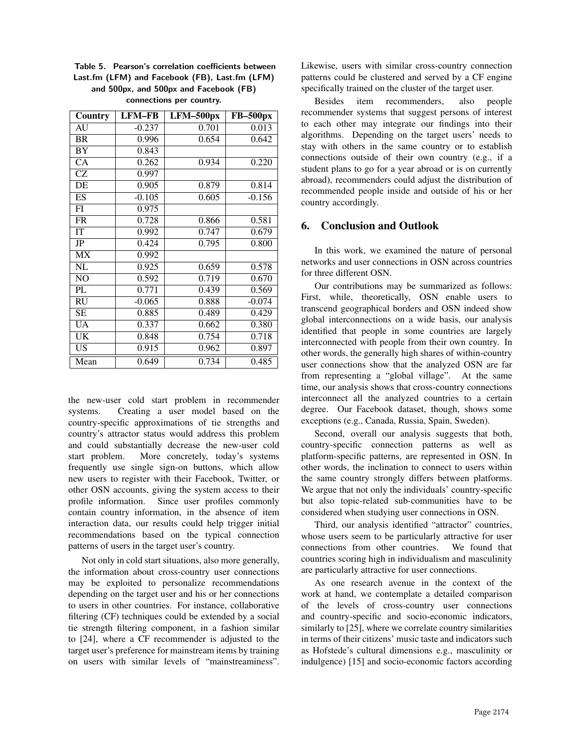Table 5. Pearson's correlation coefficients between Last.fm (LFM) and Facebook (FB), Last.fm (LFM) and 500px, and 500px and Facebook (FB) connections per country.

| Country                | <b>LFM-FB</b> | LFM-500px | <b>FB-500px</b> |
|------------------------|---------------|-----------|-----------------|
| AU                     | $-0.237$      | 0.701     | 0.013           |
| <b>BR</b>              | 0.996         | 0.654     | 0.642           |
| <b>BY</b>              | 0.843         |           |                 |
| $\overline{CA}$        | 0.262         | 0.934     | 0.220           |
| <b>CZ</b>              | 0.997         |           |                 |
| $\overline{DE}$        | 0.905         | 0.879     | 0.814           |
| ES                     | $-0.105$      | 0.605     | $-0.156$        |
| FI                     | 0.975         |           |                 |
| <b>FR</b>              | 0.728         | 0.866     | 0.581           |
| IT                     | 0.992         | 0.747     | 0.679           |
| <b>JP</b>              | 0.424         | 0.795     | 0.800           |
| $\overline{\text{MX}}$ | 0.992         |           |                 |
| <b>NL</b>              | 0.925         | 0.659     | 0.578           |
| NO                     | 0.592         | 0.719     | 0.670           |
| PL                     | 0.771         | 0.439     | 0.569           |
| <b>RU</b>              | $-0.065$      | 0.888     | $-0.074$        |
| <b>SE</b>              | 0.885         | 0.489     | 0.429           |
| UA                     | 0.337         | 0.662     | 0.380           |
| UK                     | 0.848         | 0.754     | 0.718           |
| $\overline{\text{US}}$ | 0.915         | 0.962     | 0.897           |
| Mean                   | 0.649         | 0.734     | 0.485           |

the new-user cold start problem in recommender systems. Creating a user model based on the country-specific approximations of tie strengths and country's attractor status would address this problem and could substantially decrease the new-user cold start problem. More concretely, today's systems frequently use single sign-on buttons, which allow new users to register with their Facebook, Twitter, or other OSN accounts, giving the system access to their profile information. Since user profiles commonly contain country information, in the absence of item interaction data, our results could help trigger initial recommendations based on the typical connection patterns of users in the target user's country.

Not only in cold start situations, also more generally, the information about cross-country user connections may be exploited to personalize recommendations depending on the target user and his or her connections to users in other countries. For instance, collaborative filtering (CF) techniques could be extended by a social tie strength filtering component, in a fashion similar to [24], where a CF recommender is adjusted to the target user's preference for mainstream items by training on users with similar levels of "mainstreaminess".

Likewise, users with similar cross-country connection patterns could be clustered and served by a CF engine specifically trained on the cluster of the target user.

Besides item recommenders, also people recommender systems that suggest persons of interest to each other may integrate our findings into their algorithms. Depending on the target users' needs to stay with others in the same country or to establish connections outside of their own country (e.g., if a student plans to go for a year abroad or is on currently abroad), recommenders could adjust the distribution of recommended people inside and outside of his or her country accordingly.

# 6. Conclusion and Outlook

In this work, we examined the nature of personal networks and user connections in OSN across countries for three different OSN.

Our contributions may be summarized as follows: First, while, theoretically, OSN enable users to transcend geographical borders and OSN indeed show global interconnections on a wide basis, our analysis identified that people in some countries are largely interconnected with people from their own country. In other words, the generally high shares of within-country user connections show that the analyzed OSN are far from representing a "global village". At the same time, our analysis shows that cross-country connections interconnect all the analyzed countries to a certain degree. Our Facebook dataset, though, shows some exceptions (e.g., Canada, Russia, Spain, Sweden).

Second, overall our analysis suggests that both, country-specific connection patterns as well as platform-specific patterns, are represented in OSN. In other words, the inclination to connect to users within the same country strongly differs between platforms. We argue that not only the individuals' country-specific but also topic-related sub-communities have to be considered when studying user connections in OSN.

Third, our analysis identified "attractor" countries, whose users seem to be particularly attractive for user connections from other countries. We found that countries scoring high in individualism and masculinity are particularly attractive for user connections.

As one research avenue in the context of the work at hand, we contemplate a detailed comparison of the levels of cross-country user connections and country-specific and socio-economic indicators, similarly to [25], where we correlate country similarities in terms of their citizens' music taste and indicators such as Hofstede's cultural dimensions e.g., masculinity or indulgence) [15] and socio-economic factors according